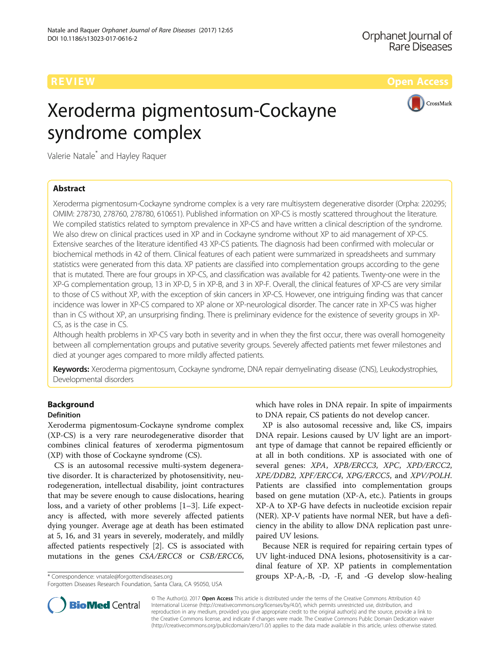CrossMark

# Xeroderma pigmentosum-Cockayne syndrome complex

Valerie Natale\* and Hayley Raquer

# Abstract

Xeroderma pigmentosum-Cockayne syndrome complex is a very rare multisystem degenerative disorder (Orpha: 220295; OMIM: 278730, 278760, 278780, 610651). Published information on XP-CS is mostly scattered throughout the literature. We compiled statistics related to symptom prevalence in XP-CS and have written a clinical description of the syndrome. We also drew on clinical practices used in XP and in Cockayne syndrome without XP to aid management of XP-CS. Extensive searches of the literature identified 43 XP-CS patients. The diagnosis had been confirmed with molecular or biochemical methods in 42 of them. Clinical features of each patient were summarized in spreadsheets and summary statistics were generated from this data. XP patients are classified into complementation groups according to the gene that is mutated. There are four groups in XP-CS, and classification was available for 42 patients. Twenty-one were in the XP-G complementation group, 13 in XP-D, 5 in XP-B, and 3 in XP-F. Overall, the clinical features of XP-CS are very similar to those of CS without XP, with the exception of skin cancers in XP-CS. However, one intriguing finding was that cancer incidence was lower in XP-CS compared to XP alone or XP-neurological disorder. The cancer rate in XP-CS was higher than in CS without XP, an unsurprising finding. There is preliminary evidence for the existence of severity groups in XP-CS, as is the case in CS.

Although health problems in XP-CS vary both in severity and in when they the first occur, there was overall homogeneity between all complementation groups and putative severity groups. Severely affected patients met fewer milestones and died at younger ages compared to more mildly affected patients.

Keywords: Xeroderma pigmentosum, Cockayne syndrome, DNA repair demyelinating disease (CNS), Leukodystrophies, Developmental disorders

# Background

# Definition

Xeroderma pigmentosum-Cockayne syndrome complex (XP-CS) is a very rare neurodegenerative disorder that combines clinical features of xeroderma pigmentosum (XP) with those of Cockayne syndrome (CS).

CS is an autosomal recessive multi-system degenerative disorder. It is characterized by photosensitivity, neurodegeneration, intellectual disability, joint contractures that may be severe enough to cause dislocations, hearing loss, and a variety of other problems [\[1](#page-8-0)–[3\]](#page-8-0). Life expectancy is affected, with more severely affected patients dying younger. Average age at death has been estimated at 5, 16, and 31 years in severely, moderately, and mildly affected patients respectively [[2\]](#page-8-0). CS is associated with mutations in the genes CSA/ERCC8 or CSB/ERCC6,

Forgotten Diseases Research Foundation, Santa Clara, CA 95050, USA

which have roles in DNA repair. In spite of impairments to DNA repair, CS patients do not develop cancer.

XP is also autosomal recessive and, like CS, impairs DNA repair. Lesions caused by UV light are an important type of damage that cannot be repaired efficiently or at all in both conditions. XP is associated with one of several genes: XPA, XPB/ERCC3, XPC, XPD/ERCC2, XPE/DDB2, XPF/ERCC4, XPG/ERCC5, and XPV/POLH. Patients are classified into complementation groups based on gene mutation (XP-A, etc.). Patients in groups XP-A to XP-G have defects in nucleotide excision repair (NER). XP-V patients have normal NER, but have a deficiency in the ability to allow DNA replication past unrepaired UV lesions.

Because NER is required for repairing certain types of UV light-induced DNA lesions, photosensitivity is a cardinal feature of XP. XP patients in complementation \* Correspondence: [vnatale@forgottendiseases.org](mailto:vnatale@forgottendiseases.org) groups XP-A,-B, -D, -F, and -G develop slow-healing



© The Author(s). 2017 Open Access This article is distributed under the terms of the Creative Commons Attribution 4.0 International License [\(http://creativecommons.org/licenses/by/4.0/](http://creativecommons.org/licenses/by/4.0/)), which permits unrestricted use, distribution, and reproduction in any medium, provided you give appropriate credit to the original author(s) and the source, provide a link to the Creative Commons license, and indicate if changes were made. The Creative Commons Public Domain Dedication waiver [\(http://creativecommons.org/publicdomain/zero/1.0/](http://creativecommons.org/publicdomain/zero/1.0/)) applies to the data made available in this article, unless otherwise stated.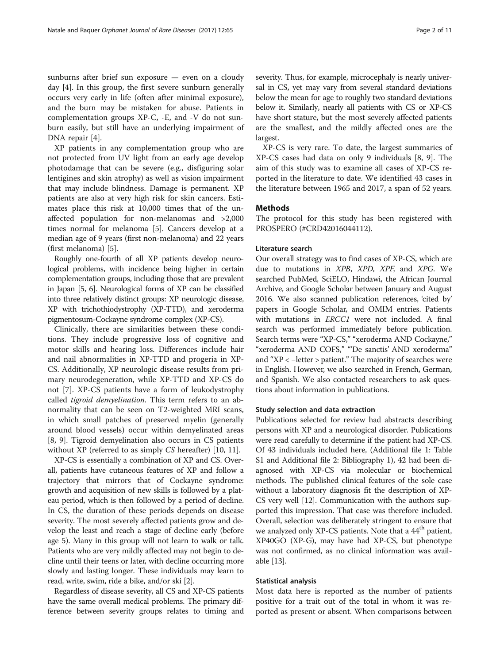sunburns after brief sun exposure — even on a cloudy day [\[4](#page-8-0)]. In this group, the first severe sunburn generally occurs very early in life (often after minimal exposure), and the burn may be mistaken for abuse. Patients in complementation groups XP-C, -E, and -V do not sunburn easily, but still have an underlying impairment of DNA repair [\[4](#page-8-0)].

XP patients in any complementation group who are not protected from UV light from an early age develop photodamage that can be severe (e.g., disfiguring solar lentigines and skin atrophy) as well as vision impairment that may include blindness. Damage is permanent. XP patients are also at very high risk for skin cancers. Estimates place this risk at 10,000 times that of the unaffected population for non-melanomas and >2,000 times normal for melanoma [[5\]](#page-8-0). Cancers develop at a median age of 9 years (first non-melanoma) and 22 years (first melanoma) [[5\]](#page-8-0).

Roughly one-fourth of all XP patients develop neurological problems, with incidence being higher in certain complementation groups, including those that are prevalent in Japan [\[5, 6\]](#page-8-0). Neurological forms of XP can be classified into three relatively distinct groups: XP neurologic disease, XP with trichothiodystrophy (XP-TTD), and xeroderma pigmentosum-Cockayne syndrome complex (XP-CS).

Clinically, there are similarities between these conditions. They include progressive loss of cognitive and motor skills and hearing loss. Differences include hair and nail abnormalities in XP-TTD and progeria in XP-CS. Additionally, XP neurologic disease results from primary neurodegeneration, while XP-TTD and XP-CS do not [[7\]](#page-8-0). XP-CS patients have a form of leukodystrophy called *tigroid demyelination*. This term refers to an abnormality that can be seen on T2-weighted MRI scans, in which small patches of preserved myelin (generally around blood vessels) occur within demyelinated areas [[8, 9\]](#page-8-0). Tigroid demyelination also occurs in CS patients without XP (referred to as simply CS hereafter) [[10, 11\]](#page-8-0).

XP-CS is essentially a combination of XP and CS. Overall, patients have cutaneous features of XP and follow a trajectory that mirrors that of Cockayne syndrome: growth and acquisition of new skills is followed by a plateau period, which is then followed by a period of decline. In CS, the duration of these periods depends on disease severity. The most severely affected patients grow and develop the least and reach a stage of decline early (before age 5). Many in this group will not learn to walk or talk. Patients who are very mildly affected may not begin to decline until their teens or later, with decline occurring more slowly and lasting longer. These individuals may learn to read, write, swim, ride a bike, and/or ski [\[2\]](#page-8-0).

Regardless of disease severity, all CS and XP-CS patients have the same overall medical problems. The primary difference between severity groups relates to timing and severity. Thus, for example, microcephaly is nearly universal in CS, yet may vary from several standard deviations below the mean for age to roughly two standard deviations below it. Similarly, nearly all patients with CS or XP-CS have short stature, but the most severely affected patients are the smallest, and the mildly affected ones are the largest.

XP-CS is very rare. To date, the largest summaries of XP-CS cases had data on only 9 individuals [\[8](#page-8-0), [9](#page-8-0)]. The aim of this study was to examine all cases of XP-CS reported in the literature to date. We identified 43 cases in the literature between 1965 and 2017, a span of 52 years.

## Methods

The protocol for this study has been registered with PROSPERO (#CRD42016044112).

#### Literature search

Our overall strategy was to find cases of XP-CS, which are due to mutations in XPB, XPD, XPF, and XPG. We searched PubMed, SciELO, Hindawi, the African Journal Archive, and Google Scholar between January and August 2016. We also scanned publication references, 'cited by' papers in Google Scholar, and OMIM entries. Patients with mutations in ERCC1 were not included. A final search was performed immediately before publication. Search terms were "XP-CS," "xeroderma AND Cockayne," "xeroderma AND COFS," "'De sanctis' AND xeroderma" and "XP < −letter > patient." The majority of searches were in English. However, we also searched in French, German, and Spanish. We also contacted researchers to ask questions about information in publications.

#### Study selection and data extraction

Publications selected for review had abstracts describing persons with XP and a neurological disorder. Publications were read carefully to determine if the patient had XP-CS. Of 43 individuals included here, (Additional file [1:](#page-8-0) Table S1 and Additional file [2:](#page-8-0) Bibliography 1), 42 had been diagnosed with XP-CS via molecular or biochemical methods. The published clinical features of the sole case without a laboratory diagnosis fit the description of XP-CS very well [[12](#page-8-0)]. Communication with the authors supported this impression. That case was therefore included. Overall, selection was deliberately stringent to ensure that we analyzed only XP-CS patients. Note that a 44<sup>th</sup> patient, XP40GO (XP-G), may have had XP-CS, but phenotype was not confirmed, as no clinical information was available [[13](#page-8-0)].

# Statistical analysis

Most data here is reported as the number of patients positive for a trait out of the total in whom it was reported as present or absent. When comparisons between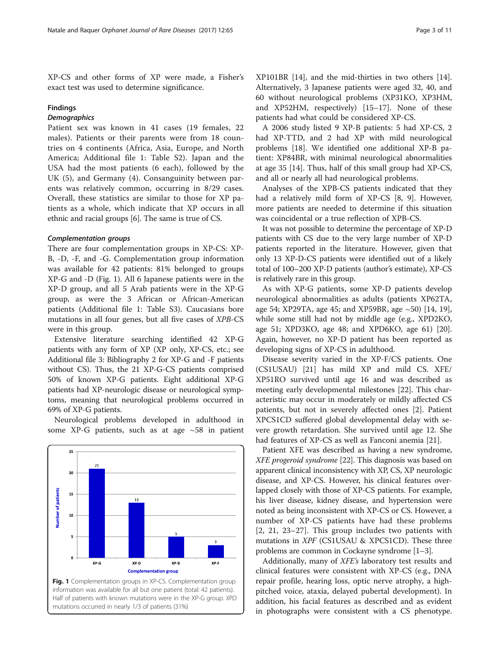XP-CS and other forms of XP were made, a Fisher's exact test was used to determine significance.

## Findings

# **Demographics**

Patient sex was known in 41 cases (19 females, 22 males). Patients or their parents were from 18 countries on 4 continents (Africa, Asia, Europe, and North America; Additional file [1:](#page-8-0) Table S2). Japan and the USA had the most patients (6 each), followed by the UK (5), and Germany (4). Consanguinity between parents was relatively common, occurring in 8/29 cases. Overall, these statistics are similar to those for XP patients as a whole, which indicate that XP occurs in all ethnic and racial groups [[6](#page-8-0)]. The same is true of CS.

#### Complementation groups

There are four complementation groups in XP-CS: XP-B, -D, -F, and -G. Complementation group information was available for 42 patients: 81% belonged to groups XP-G and -D (Fig. 1). All 6 Japanese patients were in the XP-D group, and all 5 Arab patients were in the XP-G group, as were the 3 African or African-American patients (Additional file [1:](#page-8-0) Table S3). Caucasians bore mutations in all four genes, but all five cases of XPB-CS were in this group.

Extensive literature searching identified 42 XP-G patients with any form of XP (XP only, XP-CS, etc.; see Additional file [3](#page-8-0): Bibliography 2 for XP-G and -F patients without CS). Thus, the 21 XP-G-CS patients comprised 50% of known XP-G patients. Eight additional XP-G patients had XP-neurologic disease or neurological symptoms, meaning that neurological problems occurred in 69% of XP-G patients.

Neurological problems developed in adulthood in some XP-G patients, such as at age  $\sim$  58 in patient

20 **Jumber of patients** 15  $13$ 10 5  $\overline{\mathbf{3}}$ XP-G XP-D  $XP-B$ XP-F **Complementation group** Fig. 1 Complementation groups in XP-CS. Complementation group information was available for all but one patient (total: 42 patients). Half of patients with known mutations were in the XP-G group. XPD mutations occurred in nearly 1/3 of patients (31%)

XP101BR [[14\]](#page-8-0), and the mid-thirties in two others [\[14](#page-8-0)]. Alternatively, 3 Japanese patients were aged 32, 40, and 60 without neurological problems (XP31KO, XP3HM, and XP52HM, respectively) [\[15](#page-8-0)–[17\]](#page-9-0). None of these patients had what could be considered XP-CS.

A 2006 study listed 9 XP-B patients: 5 had XP-CS, 2 had XP-TTD, and 2 had XP with mild neurological problems [[18\]](#page-9-0). We identified one additional XP-B patient: XP84BR, with minimal neurological abnormalities at age 35 [[14\]](#page-8-0). Thus, half of this small group had XP-CS, and all or nearly all had neurological problems.

Analyses of the XPB-CS patients indicated that they had a relatively mild form of XP-CS [\[8, 9](#page-8-0)]. However, more patients are needed to determine if this situation was coincidental or a true reflection of XPB-CS.

It was not possible to determine the percentage of XP-D patients with CS due to the very large number of XP-D patients reported in the literature. However, given that only 13 XP-D-CS patients were identified out of a likely total of 100–200 XP-D patients (author's estimate), XP-CS is relatively rare in this group.

As with XP-G patients, some XP-D patients develop neurological abnormalities as adults (patients XP62TA, age 54; XP29TA, age 45; and XP59BR, age  $\sim$ 50) [\[14](#page-8-0), [19](#page-9-0)], while some still had not by middle age (e.g., XPD2KO, age 51; XPD3KO, age 48; and XPD6KO, age 61) [\[20](#page-9-0)]. Again, however, no XP-D patient has been reported as developing signs of XP-CS in adulthood.

Disease severity varied in the XP-F/CS patients. One (CS1USAU) [[21\]](#page-9-0) has mild XP and mild CS. XFE/ XP51RO survived until age 16 and was described as meeting early developmental milestones [\[22\]](#page-9-0). This characteristic may occur in moderately or mildly affected CS patients, but not in severely affected ones [[2\]](#page-8-0). Patient XPCS1CD suffered global developmental delay with severe growth retardation. She survived until age 12. She had features of XP-CS as well as Fanconi anemia [\[21\]](#page-9-0).

Patient XFE was described as having a new syndrome, XFE progeroid syndrome [\[22\]](#page-9-0). This diagnosis was based on apparent clinical inconsistency with XP, CS, XP neurologic disease, and XP-CS. However, his clinical features overlapped closely with those of XP-CS patients. For example, his liver disease, kidney disease, and hypertension were noted as being inconsistent with XP-CS or CS. However, a number of XP-CS patients have had these problems [[2,](#page-8-0) [21, 23](#page-9-0)–[27](#page-9-0)]. This group includes two patients with mutations in XPF (CS1USAU & XPCS1CD). These three problems are common in Cockayne syndrome [\[1](#page-8-0)–[3\]](#page-8-0).

Additionally, many of XFE's laboratory test results and clinical features were consistent with XP-CS (e.g., DNA repair profile, hearing loss, optic nerve atrophy, a highpitched voice, ataxia, delayed pubertal development). In addition, his facial features as described and as evident in photographs were consistent with a CS phenotype.

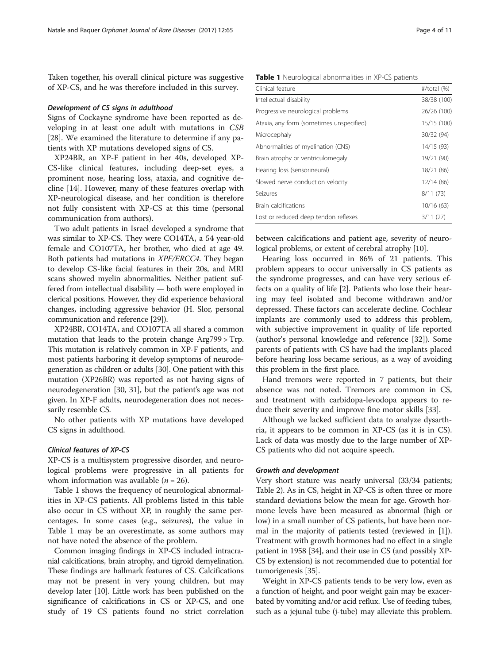Taken together, his overall clinical picture was suggestive of XP-CS, and he was therefore included in this survey.

#### Development of CS signs in adulthood

Signs of Cockayne syndrome have been reported as developing in at least one adult with mutations in CSB [[28\]](#page-9-0). We examined the literature to determine if any patients with XP mutations developed signs of CS.

XP24BR, an XP-F patient in her 40s, developed XP-CS-like clinical features, including deep-set eyes, a prominent nose, hearing loss, ataxia, and cognitive decline [[14](#page-8-0)]. However, many of these features overlap with XP-neurological disease, and her condition is therefore not fully consistent with XP-CS at this time (personal communication from authors).

Two adult patients in Israel developed a syndrome that was similar to XP-CS. They were CO14TA, a 54 year-old female and CO107TA, her brother, who died at age 49. Both patients had mutations in XPF/ERCC4. They began to develop CS-like facial features in their 20s, and MRI scans showed myelin abnormalities. Neither patient suffered from intellectual disability — both were employed in clerical positions. However, they did experience behavioral changes, including aggressive behavior (H. Slor, personal communication and reference [\[29\]](#page-9-0)).

XP24BR, CO14TA, and CO107TA all shared a common mutation that leads to the protein change Arg799 > Trp. This mutation is relatively common in XP-F patients, and most patients harboring it develop symptoms of neurodegeneration as children or adults [[30](#page-9-0)]. One patient with this mutation (XP26BR) was reported as not having signs of neurodegeneration [[30](#page-9-0), [31\]](#page-9-0), but the patient's age was not given. In XP-F adults, neurodegeneration does not necessarily resemble CS.

No other patients with XP mutations have developed CS signs in adulthood.

# Clinical features of XP-CS

XP-CS is a multisystem progressive disorder, and neurological problems were progressive in all patients for whom information was available ( $n = 26$ ).

Table 1 shows the frequency of neurological abnormalities in XP-CS patients. All problems listed in this table also occur in CS without XP, in roughly the same percentages. In some cases (e.g., seizures), the value in Table 1 may be an overestimate, as some authors may not have noted the absence of the problem.

Common imaging findings in XP-CS included intracranial calcifications, brain atrophy, and tigroid demyelination. These findings are hallmark features of CS. Calcifications may not be present in very young children, but may develop later [[10](#page-8-0)]. Little work has been published on the significance of calcifications in CS or XP-CS, and one study of 19 CS patients found no strict correlation

Table 1 Neurological abnormalities in XP-CS patients

| Clinical feature                         | $\#$ /total $(\%)$ |
|------------------------------------------|--------------------|
| Intellectual disability                  | 38/38 (100)        |
| Progressive neurological problems        | 26/26 (100)        |
| Ataxia, any form (sometimes unspecified) | 15/15 (100)        |
| Microcephaly                             | 30/32 (94)         |
| Abnormalities of myelination (CNS)       | 14/15 (93)         |
| Brain atrophy or ventriculomegaly        | 19/21 (90)         |
| Hearing loss (sensorineural)             | 18/21 (86)         |
| Slowed nerve conduction velocity         | 12/14 (86)         |
| Seizures                                 | 8/11(73)           |
| Brain calcifications                     | 10/16(63)          |
| Lost or reduced deep tendon reflexes     | 3/11(27)           |

between calcifications and patient age, severity of neurological problems, or extent of cerebral atrophy [\[10\]](#page-8-0).

Hearing loss occurred in 86% of 21 patients. This problem appears to occur universally in CS patients as the syndrome progresses, and can have very serious effects on a quality of life [[2](#page-8-0)]. Patients who lose their hearing may feel isolated and become withdrawn and/or depressed. These factors can accelerate decline. Cochlear implants are commonly used to address this problem, with subjective improvement in quality of life reported (author's personal knowledge and reference [[32\]](#page-9-0)). Some parents of patients with CS have had the implants placed before hearing loss became serious, as a way of avoiding this problem in the first place.

Hand tremors were reported in 7 patients, but their absence was not noted. Tremors are common in CS, and treatment with carbidopa-levodopa appears to reduce their severity and improve fine motor skills [\[33\]](#page-9-0).

Although we lacked sufficient data to analyze dysarthria, it appears to be common in XP-CS (as it is in CS). Lack of data was mostly due to the large number of XP-CS patients who did not acquire speech.

#### Growth and development

Very short stature was nearly universal (33/34 patients; Table [2](#page-4-0)). As in CS, height in XP-CS is often three or more standard deviations below the mean for age. Growth hormone levels have been measured as abnormal (high or low) in a small number of CS patients, but have been normal in the majority of patients tested (reviewed in [\[1](#page-8-0)]). Treatment with growth hormones had no effect in a single patient in 1958 [[34](#page-9-0)], and their use in CS (and possibly XP-CS by extension) is not recommended due to potential for tumorigenesis [\[35\]](#page-9-0).

Weight in XP-CS patients tends to be very low, even as a function of height, and poor weight gain may be exacerbated by vomiting and/or acid reflux. Use of feeding tubes, such as a jejunal tube (j-tube) may alleviate this problem.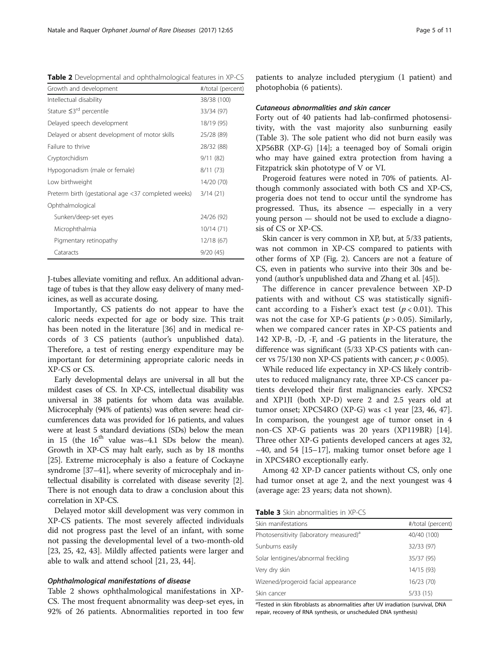<span id="page-4-0"></span>Table 2 Developmental and ophthalmological features in XP-CS

| Growth and development                              | #/total (percent) |
|-----------------------------------------------------|-------------------|
| Intellectual disability                             | 38/38 (100)       |
| Stature $\leq 3^{rd}$ percentile                    | 33/34 (97)        |
| Delayed speech development                          | 18/19 (95)        |
| Delayed or absent development of motor skills       | 25/28 (89)        |
| Failure to thrive                                   | 28/32 (88)        |
| Cryptorchidism                                      | 9/11(82)          |
| Hypogonadism (male or female)                       | 8/11(73)          |
| Low birthweight                                     | 14/20 (70)        |
| Preterm birth (gestational age <37 completed weeks) | 3/14(21)          |
| Ophthalmological                                    |                   |
| Sunken/deep-set eyes                                | 24/26 (92)        |
| Microphthalmia                                      | 10/14(71)         |
| Pigmentary retinopathy                              | 12/18 (67)        |
| Cataracts                                           | 9/20(45)          |

J-tubes alleviate vomiting and reflux. An additional advantage of tubes is that they allow easy delivery of many medicines, as well as accurate dosing.

Importantly, CS patients do not appear to have the caloric needs expected for age or body size. This trait has been noted in the literature [\[36](#page-9-0)] and in medical records of 3 CS patients (author's unpublished data). Therefore, a test of resting energy expenditure may be important for determining appropriate caloric needs in XP-CS or CS.

Early developmental delays are universal in all but the mildest cases of CS. In XP-CS, intellectual disability was universal in 38 patients for whom data was available. Microcephaly (94% of patients) was often severe: head circumferences data was provided for 16 patients, and values were at least 5 standard deviations (SDs) below the mean in 15 (the  $16<sup>th</sup>$  value was-4.1 SDs below the mean). Growth in XP-CS may halt early, such as by 18 months [[25](#page-9-0)]. Extreme microcephaly is also a feature of Cockayne syndrome [[37](#page-9-0)–[41\]](#page-9-0), where severity of microcephaly and intellectual disability is correlated with disease severity [[2](#page-8-0)]. There is not enough data to draw a conclusion about this correlation in XP-CS.

Delayed motor skill development was very common in XP-CS patients. The most severely affected individuals did not progress past the level of an infant, with some not passing the developmental level of a two-month-old [[23, 25](#page-9-0), [42, 43](#page-9-0)]. Mildly affected patients were larger and able to walk and attend school [\[21, 23, 44\]](#page-9-0).

# Ophthalmological manifestations of disease

Table 2 shows ophthalmological manifestations in XP-CS. The most frequent abnormality was deep-set eyes, in 92% of 26 patients. Abnormalities reported in too few

patients to analyze included pterygium (1 patient) and photophobia (6 patients).

#### Cutaneous abnormalities and skin cancer

Forty out of 40 patients had lab-confirmed photosensitivity, with the vast majority also sunburning easily (Table 3). The sole patient who did not burn easily was XP56BR (XP-G) [[14](#page-8-0)]; a teenaged boy of Somali origin who may have gained extra protection from having a Fitzpatrick skin phototype of V or VI.

Progeroid features were noted in 70% of patients. Although commonly associated with both CS and XP-CS, progeria does not tend to occur until the syndrome has progressed. Thus, its absence — especially in a very young person — should not be used to exclude a diagnosis of CS or XP-CS.

Skin cancer is very common in XP, but, at 5/33 patients, was not common in XP-CS compared to patients with other forms of XP (Fig. [2](#page-5-0)). Cancers are not a feature of CS, even in patients who survive into their 30s and beyond (author's unpublished data and Zhang et al. [\[45\]](#page-9-0)).

The difference in cancer prevalence between XP-D patients with and without CS was statistically significant according to a Fisher's exact test ( $p < 0.01$ ). This was not the case for XP-G patients ( $p > 0.05$ ). Similarly, when we compared cancer rates in XP-CS patients and 142 XP-B, -D, -F, and -G patients in the literature, the difference was significant (5/33 XP-CS patients with cancer vs  $75/130$  non XP-CS patients with cancer;  $p < 0.005$ ).

While reduced life expectancy in XP-CS likely contributes to reduced malignancy rate, three XP-CS cancer patients developed their first malignancies early. XPCS2 and XP1JI (both XP-D) were 2 and 2.5 years old at tumor onset; XPCS4RO (XP-G) was <1 year  $[23, 46, 47]$  $[23, 46, 47]$  $[23, 46, 47]$  $[23, 46, 47]$  $[23, 46, 47]$  $[23, 46, 47]$ . In comparison, the youngest age of tumor onset in 4 non-CS XP-G patients was 20 years (XP119BR) [\[14](#page-8-0)]. Three other XP-G patients developed cancers at ages 32,  $\sim$ 40, and 54 [[15](#page-8-0)–[17](#page-9-0)], making tumor onset before age 1 in XPCS4RO exceptionally early.

Among 42 XP-D cancer patients without CS, only one had tumor onset at age 2, and the next youngest was 4 (average age: 23 years; data not shown).

Table 3 Skin abnormalities in XP-CS

| #/total (percent) |
|-------------------|
| 40/40 (100)       |
| 32/33 (97)        |
| 35/37 (95)        |
| 14/15 (93)        |
| 16/23 (70)        |
| 5/33(15)          |
|                   |

<sup>a</sup>Tested in skin fibroblasts as abnormalities after UV irradiation (survival, DNA repair, recovery of RNA synthesis, or unscheduled DNA synthesis)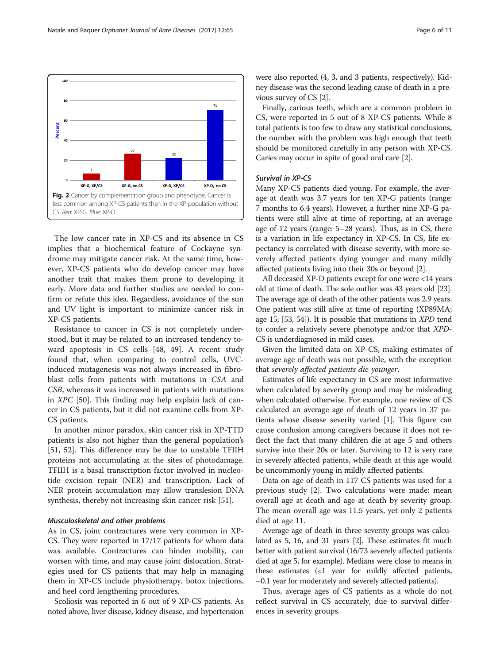<span id="page-5-0"></span>

The low cancer rate in XP-CS and its absence in CS implies that a biochemical feature of Cockayne syndrome may mitigate cancer risk. At the same time, however, XP-CS patients who do develop cancer may have another trait that makes them prone to developing it early. More data and further studies are needed to confirm or refute this idea. Regardless, avoidance of the sun and UV light is important to minimize cancer risk in XP-CS patients.

Resistance to cancer in CS is not completely understood, but it may be related to an increased tendency toward apoptosis in CS cells [\[48](#page-9-0), [49\]](#page-9-0). A recent study found that, when comparing to control cells, UVCinduced mutagenesis was not always increased in fibroblast cells from patients with mutations in CSA and CSB, whereas it was increased in patients with mutations in XPC [[50\]](#page-9-0). This finding may help explain lack of cancer in CS patients, but it did not examine cells from XP-CS patients.

In another minor paradox, skin cancer risk in XP-TTD patients is also not higher than the general population's [[51, 52\]](#page-9-0). This difference may be due to unstable TFIIH proteins not accumulating at the sites of photodamage. TFIIH is a basal transcription factor involved in nucleotide excision repair (NER) and transcription. Lack of NER protein accumulation may allow translesion DNA synthesis, thereby not increasing skin cancer risk [\[51](#page-9-0)].

# Musculoskeletal and other problems

As in CS, joint contractures were very common in XP-CS. They were reported in 17/17 patients for whom data was available. Contractures can hinder mobility, can worsen with time, and may cause joint dislocation. Strategies used for CS patients that may help in managing them in XP-CS include physiotherapy, botox injections, and heel cord lengthening procedures.

Scoliosis was reported in 6 out of 9 XP-CS patients. As noted above, liver disease, kidney disease, and hypertension were also reported (4, 3, and 3 patients, respectively). Kidney disease was the second leading cause of death in a previous survey of CS [\[2](#page-8-0)].

Finally, carious teeth, which are a common problem in CS, were reported in 5 out of 8 XP-CS patients. While 8 total patients is too few to draw any statistical conclusions, the number with the problem was high enough that teeth should be monitored carefully in any person with XP-CS. Caries may occur in spite of good oral care [[2](#page-8-0)].

#### Survival in XP-CS

Many XP-CS patients died young. For example, the average at death was 3.7 years for ten XP-G patients (range: 7 months to 6.4 years). However, a further nine XP-G patients were still alive at time of reporting, at an average age of 12 years (range: 5–28 years). Thus, as in CS, there is a variation in life expectancy in XP-CS. In CS, life expectancy is correlated with disease severity, with more severely affected patients dying younger and many mildly affected patients living into their 30s or beyond [[2\]](#page-8-0).

All deceased XP-D patients except for one were <14 years old at time of death. The sole outlier was 43 years old [[23](#page-9-0)]. The average age of death of the other patients was 2.9 years. One patient was still alive at time of reporting (XP89MA; age 15; [[53](#page-9-0), [54\]](#page-9-0)). It is possible that mutations in XPD tend to confer a relatively severe phenotype and/or that XPD-CS is underdiagnosed in mild cases.

Given the limited data on XP-CS, making estimates of average age of death was not possible, with the exception that severely affected patients die younger.

Estimates of life expectancy in CS are most informative when calculated by severity group and may be misleading when calculated otherwise. For example, one review of CS calculated an average age of death of 12 years in 37 patients whose disease severity varied [\[1](#page-8-0)]. This figure can cause confusion among caregivers because it does not reflect the fact that many children die at age 5 and others survive into their 20s or later. Surviving to 12 is very rare in severely affected patients, while death at this age would be uncommonly young in mildly affected patients.

Data on age of death in 117 CS patients was used for a previous study [\[2](#page-8-0)]. Two calculations were made: mean overall age at death and age at death by severity group. The mean overall age was 11.5 years, yet only 2 patients died at age 11.

Average age of death in three severity groups was calculated as 5, 16, and 31 years [\[2\]](#page-8-0). These estimates fit much better with patient survival (16/73 severely affected patients died at age 5, for example). Medians were close to means in these estimates  $\langle 1 \rangle$  year for mildly affected patients,  $\sim$ 0.1 year for moderately and severely affected patients).

Thus, average ages of CS patients as a whole do not reflect survival in CS accurately, due to survival differences in severity groups.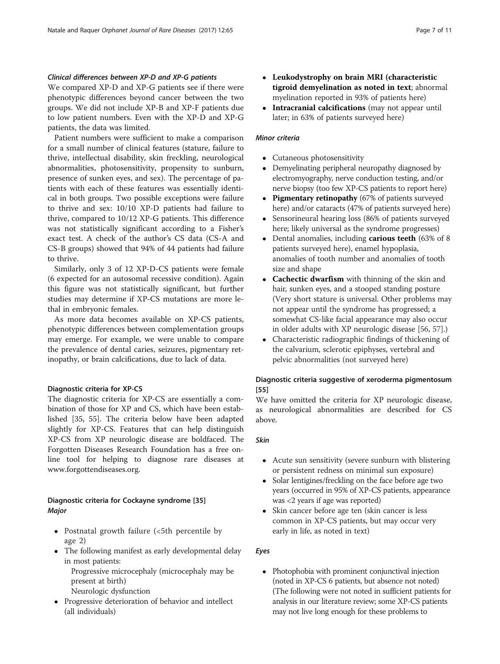# Clinical differences between XP-D and XP-G patients

We compared XP-D and XP-G patients see if there were phenotypic differences beyond cancer between the two groups. We did not include XP-B and XP-F patients due to low patient numbers. Even with the XP-D and XP-G patients, the data was limited.

Patient numbers were sufficient to make a comparison for a small number of clinical features (stature, failure to thrive, intellectual disability, skin freckling, neurological abnormalities, photosensitivity, propensity to sunburn, presence of sunken eyes, and sex). The percentage of patients with each of these features was essentially identical in both groups. Two possible exceptions were failure to thrive and sex: 10/10 XP-D patients had failure to thrive, compared to 10/12 XP-G patients. This difference was not statistically significant according to a Fisher's exact test. A check of the author's CS data (CS-A and CS-B groups) showed that 94% of 44 patients had failure to thrive.

Similarly, only 3 of 12 XP-D-CS patients were female (6 expected for an autosomal recessive condition). Again this figure was not statistically significant, but further studies may determine if XP-CS mutations are more lethal in embryonic females.

As more data becomes available on XP-CS patients, phenotypic differences between complementation groups may emerge. For example, we were unable to compare the prevalence of dental caries, seizures, pigmentary retinopathy, or brain calcifications, due to lack of data.

# Diagnostic criteria for XP-CS

The diagnostic criteria for XP-CS are essentially a combination of those for XP and CS, which have been established [[35, 55\]](#page-9-0). The criteria below have been adapted slightly for XP-CS. Features that can help distinguish XP-CS from XP neurologic disease are boldfaced. The Forgotten Diseases Research Foundation has a free online tool for helping to diagnose rare diseases at [www.forgottendiseases.org](http://www.forgottendiseases.org/).

# Diagnostic criteria for Cockayne syndrome [[35](#page-9-0)] Major

- Postnatal growth failure (<5th percentile by age 2)
- The following manifest as early developmental delay in most patients:

Progressive microcephaly (microcephaly may be present at birth) Neurologic dysfunction

 Progressive deterioration of behavior and intellect (all individuals)

- Leukodystrophy on brain MRI (characteristic tigroid demyelination as noted in text; abnormal myelination reported in 93% of patients here)
- Intracranial calcifications (may not appear until later; in 63% of patients surveyed here)

# Minor criteria

- Cutaneous photosensitivity
- Demyelinating peripheral neuropathy diagnosed by electromyography, nerve conduction testing, and/or nerve biopsy (too few XP-CS patients to report here)
- Pigmentary retinopathy (67% of patients surveyed here) and/or cataracts (47% of patients surveyed here)
- Sensorineural hearing loss (86% of patients surveyed here; likely universal as the syndrome progresses)
- Dental anomalies, including **carious teeth** (63% of 8) patients surveyed here), enamel hypoplasia, anomalies of tooth number and anomalies of tooth size and shape
- Cachectic dwarfism with thinning of the skin and hair, sunken eyes, and a stooped standing posture (Very short stature is universal. Other problems may not appear until the syndrome has progressed; a somewhat CS-like facial appearance may also occur in older adults with XP neurologic disease [[56](#page-9-0), [57](#page-10-0)].)
- Characteristic radiographic findings of thickening of the calvarium, sclerotic epiphyses, vertebral and pelvic abnormalities (not surveyed here)

# Diagnostic criteria suggestive of xeroderma pigmentosum [\[55](#page-9-0)]

We have omitted the criteria for XP neurologic disease, as neurological abnormalities are described for CS above.

# Skin

- Acute sun sensitivity (severe sunburn with blistering or persistent redness on minimal sun exposure)
- Solar lentigines/freckling on the face before age two years (occurred in 95% of XP-CS patients, appearance was <2 years if age was reported)
- Skin cancer before age ten (skin cancer is less common in XP-CS patients, but may occur very early in life, as noted in text)

# Eyes

• Photophobia with prominent conjunctival injection (noted in XP-CS 6 patients, but absence not noted) (The following were not noted in sufficient patients for analysis in our literature review; some XP-CS patients may not live long enough for these problems to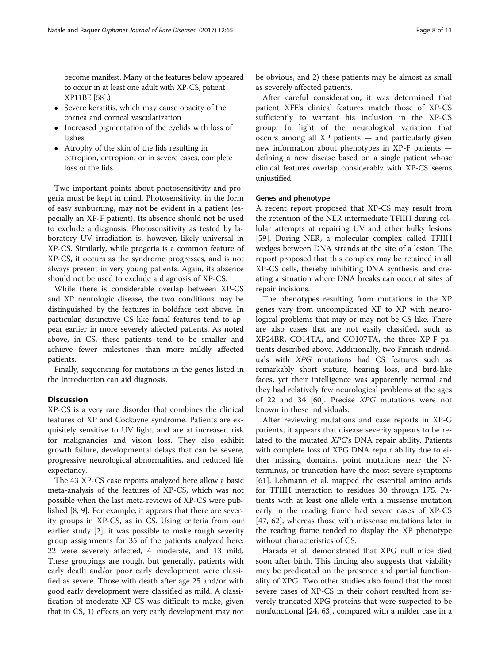become manifest. Many of the features below appeared to occur in at least one adult with XP-CS, patient XP11BE [\[58\]](#page-10-0).)

- Severe keratitis, which may cause opacity of the cornea and corneal vascularization
- Increased pigmentation of the eyelids with loss of lashes
- Atrophy of the skin of the lids resulting in ectropion, entropion, or in severe cases, complete loss of the lids

Two important points about photosensitivity and progeria must be kept in mind. Photosensitivity, in the form of easy sunburning, may not be evident in a patient (especially an XP-F patient). Its absence should not be used to exclude a diagnosis. Photosensitivity as tested by laboratory UV irradiation is, however, likely universal in XP-CS. Similarly, while progeria is a common feature of XP-CS, it occurs as the syndrome progresses, and is not always present in very young patients. Again, its absence should not be used to exclude a diagnosis of XP-CS.

While there is considerable overlap between XP-CS and XP neurologic disease, the two conditions may be distinguished by the features in boldface text above. In particular, distinctive CS-like facial features tend to appear earlier in more severely affected patients. As noted above, in CS, these patients tend to be smaller and achieve fewer milestones than more mildly affected patients.

Finally, sequencing for mutations in the genes listed in the Introduction can aid diagnosis.

# **Discussion**

XP-CS is a very rare disorder that combines the clinical features of XP and Cockayne syndrome. Patients are exquisitely sensitive to UV light, and are at increased risk for malignancies and vision loss. They also exhibit growth failure, developmental delays that can be severe, progressive neurological abnormalities, and reduced life expectancy.

The 43 XP-CS case reports analyzed here allow a basic meta-analysis of the features of XP-CS, which was not possible when the last meta-reviews of XP-CS were published [[8, 9](#page-8-0)]. For example, it appears that there are severity groups in XP-CS, as in CS. Using criteria from our earlier study [\[2\]](#page-8-0), it was possible to make rough severity group assignments for 35 of the patients analyzed here: 22 were severely affected, 4 moderate, and 13 mild. These groupings are rough, but generally, patients with early death and/or poor early development were classified as severe. Those with death after age 25 and/or with good early development were classified as mild. A classification of moderate XP-CS was difficult to make, given that in CS, 1) effects on very early development may not be obvious, and 2) these patients may be almost as small as severely affected patients.

After careful consideration, it was determined that patient XFE's clinical features match those of XP-CS sufficiently to warrant his inclusion in the XP-CS group. In light of the neurological variation that occurs among all XP patients — and particularly given new information about phenotypes in XP-F patients defining a new disease based on a single patient whose clinical features overlap considerably with XP-CS seems unjustified.

#### Genes and phenotype

A recent report proposed that XP-CS may result from the retention of the NER intermediate TFIIH during cellular attempts at repairing UV and other bulky lesions [[59\]](#page-10-0). During NER, a molecular complex called TFIIH wedges between DNA strands at the site of a lesion. The report proposed that this complex may be retained in all XP-CS cells, thereby inhibiting DNA synthesis, and creating a situation where DNA breaks can occur at sites of repair incisions.

The phenotypes resulting from mutations in the XP genes vary from uncomplicated XP to XP with neurological problems that may or may not be CS-like. There are also cases that are not easily classified, such as XP24BR, CO14TA, and CO107TA, the three XP-F patients described above. Additionally, two Finnish individuals with XPG mutations had CS features such as remarkably short stature, hearing loss, and bird-like faces, yet their intelligence was apparently normal and they had relatively few neurological problems at the ages of 22 and 34 [\[60\]](#page-10-0). Precise XPG mutations were not known in these individuals.

After reviewing mutations and case reports in XP-G patients, it appears that disease severity appears to be related to the mutated XPG's DNA repair ability. Patients with complete loss of XPG DNA repair ability due to either missing domains, point mutations near the Nterminus, or truncation have the most severe symptoms [[61\]](#page-10-0). Lehmann et al. mapped the essential amino acids for TFIIH interaction to residues 30 through 175. Patients with at least one allele with a missense mutation early in the reading frame had severe cases of XP-CS [[47,](#page-9-0) [62](#page-10-0)], whereas those with missense mutations later in the reading frame tended to display the XP phenotype without characteristics of CS.

Harada et al. demonstrated that XPG null mice died soon after birth. This finding also suggests that viability may be predicated on the presence and partial functionality of XPG. Two other studies also found that the most severe cases of XP-CS in their cohort resulted from severely truncated XPG proteins that were suspected to be nonfunctional [\[24,](#page-9-0) [63\]](#page-10-0), compared with a milder case in a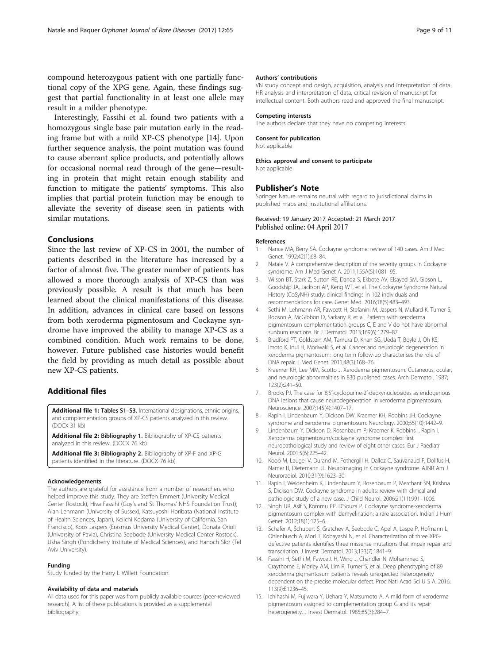<span id="page-8-0"></span>compound heterozygous patient with one partially functional copy of the XPG gene. Again, these findings suggest that partial functionality in at least one allele may result in a milder phenotype.

Interestingly, Fassihi et al. found two patients with a homozygous single base pair mutation early in the reading frame but with a mild XP-CS phenotype [14]. Upon further sequence analysis, the point mutation was found to cause aberrant splice products, and potentially allows for occasional normal read through of the gene—resulting in protein that might retain enough stability and function to mitigate the patients' symptoms. This also implies that partial protein function may be enough to alleviate the severity of disease seen in patients with similar mutations.

# Conclusions

Since the last review of XP-CS in 2001, the number of patients described in the literature has increased by a factor of almost five. The greater number of patients has allowed a more thorough analysis of XP-CS than was previously possible. A result is that much has been learned about the clinical manifestations of this disease. In addition, advances in clinical care based on lessons from both xeroderma pigmentosum and Cockayne syndrome have improved the ability to manage XP-CS as a combined condition. Much work remains to be done, however. Future published case histories would benefit the field by providing as much detail as possible about new XP-CS patients.

# Additional files

[Additional file 1:](dx.doi.org/10.1186/s13023-017-0616-2) Tables S1-S3. International designations, ethnic origins, and complementation groups of XP-CS patients analyzed in this review. (DOCX 31 kb)

[Additional file 2:](dx.doi.org/10.1186/s13023-017-0616-2) Bibliography 1. Bibliography of XP-CS patients analyzed in this review. (DOCX 76 kb)

[Additional file 3:](dx.doi.org/10.1186/s13023-017-0616-2) Bibliography 2. Bibliography of XP-F and XP-G patients identified in the literature. (DOCX 76 kb)

#### Acknowledgements

The authors are grateful for assistance from a number of researchers who helped improve this study. They are Steffen Emmert (University Medical Center Rostock), Hiva Fassihi (Guy's and St Thomas' NHS Foundation Trust), Alan Lehmann (University of Sussex), Katsuyoshi Horibata (National Institute of Health Sciences, Japan), Keiichi Kodama (University of California, San Francisco), Koos Jaspers (Erasmus University Medical Center), Donata Orioli (University of Pavia), Christina Seebode (University Medical Center Rostock), Usha Singh (Pondicherry Institute of Medical Sciences), and Hanoch Slor (Tel Aviv University).

#### Funding

Study funded by the Harry L Willett Foundation.

#### Availability of data and materials

All data used for this paper was from publicly available sources (peer-reviewed research). A list of these publications is provided as a supplemental bibliography.

#### Authors' contributions

VN study concept and design, acquisition, analysis and interpretation of data. HR analysis and interpretation of data, critical revision of manuscript for intellectual content. Both authors read and approved the final manuscript.

#### Competing interests

The authors declare that they have no competing interests.

#### Consent for publication

Not applicable

#### Ethics approval and consent to participate

Not applicable

## Publisher's Note

Springer Nature remains neutral with regard to jurisdictional claims in published maps and institutional affiliations.

## Received: 19 January 2017 Accepted: 21 March 2017 Published online: 04 April 2017

#### References

- 1. Nance MA, Berry SA. Cockayne syndrome: review of 140 cases. Am J Med Genet. 1992;42(1):68–84.
- 2. Natale V. A comprehensive description of the severity groups in Cockayne syndrome. Am J Med Genet A. 2011;155A(5):1081–95.
- 3. Wilson BT, Stark Z, Sutton RE, Danda S, Ekbote AV, Elsayed SM, Gibson L, Goodship JA, Jackson AP, Keng WT, et al. The Cockayne Syndrome Natural History (CoSyNH) study: clinical findings in 102 individuals and recommendations for care. Genet Med. 2016;18(5):483–493.
- 4. Sethi M, Lehmann AR, Fawcett H, Stefanini M, Jaspers N, Mullard K, Turner S, Robson A, McGibbon D, Sarkany R, et al. Patients with xeroderma pigmentosum complementation groups C, E and V do not have abnormal sunburn reactions. Br J Dermatol. 2013;169(6):1279–87.
- 5. Bradford PT, Goldstein AM, Tamura D, Khan SG, Ueda T, Boyle J, Oh KS, Imoto K, Inui H, Moriwaki S, et al. Cancer and neurologic degeneration in xeroderma pigmentosum: long term follow-up characterises the role of DNA repair. J Med Genet. 2011;48(3):168–76.
- 6. Kraemer KH, Lee MM, Scotto J. Xeroderma pigmentosum. Cutaneous, ocular, and neurologic abnormalities in 830 published cases. Arch Dermatol. 1987; 123(2):241–50.
- 7. Brooks PJ. The case for 8,5'-cyclopurine-2'-deoxynucleosides as endogenous DNA lesions that cause neurodegeneration in xeroderma pigmentosum. Neuroscience. 2007;145(4):1407–17.
- 8. Rapin I, Lindenbaum Y, Dickson DW, Kraemer KH, Robbins JH. Cockayne syndrome and xeroderma pigmentosum. Neurology. 2000;55(10):1442–9.
- 9. Lindenbaum Y, Dickson D, Rosenbaum P, Kraemer K, Robbins I, Rapin I. Xeroderma pigmentosum/cockayne syndrome complex: first neuropathological study and review of eight other cases. Eur J Paediatr Neurol. 2001;5(6):225–42.
- 10. Koob M, Laugel V, Durand M, Fothergill H, Dalloz C, Sauvanaud F, Dollfus H, Namer IJ, Dietemann JL. Neuroimaging in Cockayne syndrome. AJNR Am J Neuroradiol. 2010;31(9):1623–30.
- 11. Rapin I, Weidenheim K, Lindenbaum Y, Rosenbaum P, Merchant SN, Krishna S, Dickson DW. Cockayne syndrome in adults: review with clinical and pathologic study of a new case. J Child Neurol. 2006;21(11):991–1006.
- 12. Singh UR, Asif S, Kommu PP, D'Souza P. Cockayne syndrome-xeroderma pigmentosum complex with demyelination: a rare association. Indian J Hum Genet. 2012;18(1):125–6.
- 13. Schafer A, Schubert S, Gratchev A, Seebode C, Apel A, Laspe P, Hofmann L Ohlenbusch A, Mori T, Kobayashi N, et al. Characterization of three XPGdefective patients identifies three missense mutations that impair repair and transcription. J Invest Dermatol. 2013;133(7):1841–9.
- 14. Fassihi H, Sethi M, Fawcett H, Wing J, Chandler N, Mohammed S, Craythorne E, Morley AM, Lim R, Turner S, et al. Deep phenotyping of 89 xeroderma pigmentosum patients reveals unexpected heterogeneity dependent on the precise molecular defect. Proc Natl Acad Sci U S A. 2016; 113(9):E1236–45.
- 15. Ichihashi M, Fujiwara Y, Uehara Y, Matsumoto A. A mild form of xeroderma pigmentosum assigned to complementation group G and its repair heterogeneity. J Invest Dermatol. 1985;85(3):284–7.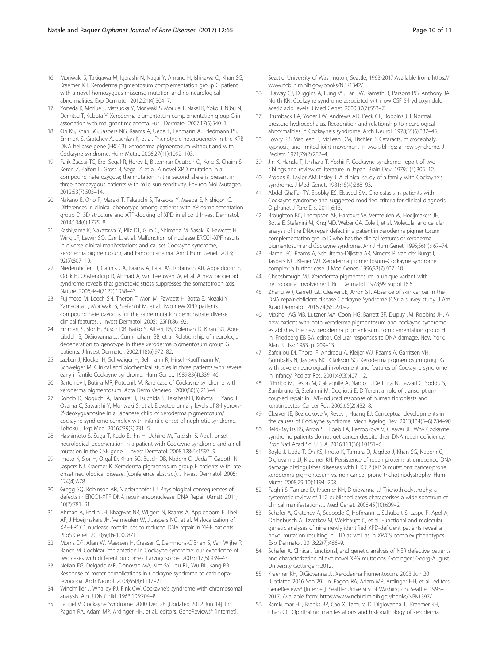- <span id="page-9-0"></span>16. Moriwaki S, Takigawa M, Igarashi N, Nagai Y, Amano H, Ishikawa O, Khan SG, Kraemer KH. Xeroderma pigmentosum complementation group G patient with a novel homozygous missense mutation and no neurological abnormalities. Exp Dermatol. 2012;21(4):304–7.
- 17. Yoneda K, Moriue J, Matsuoka Y, Moriwaki S, Moriue T, Nakai K, Yokoi I, Nibu N, Demitsu T, Kubota Y. Xeroderma pigmentosum complementation group G in association with malignant melanoma. Eur J Dermatol. 2007;17(6):540–1.
- 18. Oh KS, Khan SG, Jaspers NG, Raams A, Ueda T, Lehmann A, Friedmann PS, Emmert S, Gratchev A, Lachlan K, et al. Phenotypic heterogeneity in the XPB DNA helicase gene (ERCC3): xeroderma pigmentosum without and with Cockayne syndrome. Hum Mutat. 2006;27(11):1092–103.
- 19. Falik-Zaccai TC, Erel-Segal R, Horev L, Bitterman-Deutsch O, Koka S, Chaim S, Keren Z, Kalfon L, Gross B, Segal Z, et al. A novel XPD mutation in a compound heterozygote; the mutation in the second allele is present in three homozygous patients with mild sun sensitivity. Environ Mol Mutagen. 2012;53(7):505–14.
- 20. Nakano E, Ono R, Masaki T, Takeuchi S, Takaoka Y, Maeda E, Nishigori C. Differences in clinical phenotype among patients with XP complementation group D: 3D structure and ATP-docking of XPD in silico. J Invest Dermatol. 2014;134(6):1775–8.
- 21. Kashiyama K, Nakazawa Y, Pilz DT, Guo C, Shimada M, Sasaki K, Fawcett H, Wing JF, Lewin SO, Carr L, et al. Malfunction of nuclease ERCC1-XPF results in diverse clinical manifestations and causes Cockayne syndrome, xeroderma pigmentosum, and Fanconi anemia. Am J Hum Genet. 2013; 92(5):807–19.
- 22. Niedernhofer LJ, Garinis GA, Raams A, Lalai AS, Robinson AR, Appeldoorn E, Odijk H, Oostendorp R, Ahmad A, van Leeuwen W, et al. A new progeroid syndrome reveals that genotoxic stress suppresses the somatotroph axis. Nature. 2006;444(7122):1038–43.
- 23. Fujimoto M, Leech SN, Theron T, Mori M, Fawcett H, Botta E, Nozaki Y, Yamagata T, Moriwaki S, Stefanini M, et al. Two new XPD patients compound heterozygous for the same mutation demonstrate diverse clinical features. J Invest Dermatol. 2005;125(1):86–92.
- 24. Emmert S, Slor H, Busch DB, Batko S, Albert RB, Coleman D, Khan SG, Abu-Libdeh B, DiGiovanna JJ, Cunningham BB, et al. Relationship of neurologic degeneration to genotype in three xeroderma pigmentosum group G patients. J Invest Dermatol. 2002;118(6):972–82.
- 25. Jaeken J, Klocker H, Schwaiger H, Bellmann R, Hirsch-Kauffmann M, Schweiger M. Clinical and biochemical studies in three patients with severe early infantile Cockayne syndrome. Hum Genet. 1989;83(4):339–46.
- 26. Bartenjev I, Butina MR, Potocnik M. Rare case of Cockayne syndrome with xeroderma pigmentosum. Acta Derm Venereol. 2000;80(3):213–4.
- 27. Kondo D, Noguchi A, Tamura H, Tsuchida S, Takahashi I, Kubota H, Yano T, Oyama C, Sawaishi Y, Moriwaki S, et al. Elevated urinary levels of 8-hydroxy-2′-deoxyguanosine in a Japanese child of xeroderma pigmentosum/ cockayne syndrome complex with infantile onset of nephrotic syndrome. Tohoku J Exp Med. 2016;239(3):231–5.
- 28. Hashimoto S, Suga T, Kudo E, Ihn H, Uchino M, Tateishi S. Adult-onset neurological degeneration in a patient with Cockayne syndrome and a null mutation in the CSB gene. J Invest Dermatol. 2008;128(6):1597–9.
- 29. Imoto K, Slor H, Orgal D, Khan SG, Busch DB, Nadem C, Ueda T, Gadoth N, Jaspers NJ, Kraemer K. Xeroderma pigmentosum group F patients with late onset neurological disease. (conference abstract). J Invest Dermatol. 2005; 124(4):A78.
- 30. Gregg SQ, Robinson AR, Niedernhofer LJ. Physiological consequences of defects in ERCC1-XPF DNA repair endonuclease. DNA Repair (Amst). 2011; 10(7):781–91.
- 31. Ahmad A, Enzlin JH, Bhagwat NR, Wijgers N, Raams A, Appledoorn E, Theil AF, J Hoeijmakers JH, Vermeulen W, J Jaspers NG, et al. Mislocalization of XPF-ERCC1 nuclease contributes to reduced DNA repair in XP-F patients. PLoS Genet. 2010;6(3):e1000871
- 32. Morris DP, Alian W, Maessen H, Creaser C, Demmons-O'Brien S, Van Wijhe R, Bance M. Cochlear implantation in Cockayne syndrome: our experience of two cases with different outcomes. Laryngoscope. 2007;117(5):939–43.
- 33. Neilan EG, Delgado MR, Donovan MA, Kim SY, Jou RL, Wu BL, Kang PB. Response of motor complications in Cockayne syndrome to carbidopalevodopa. Arch Neurol. 2008;65(8):1117–21.
- 34. Windmiller J, Whalley PJ, Fink CW. Cockayne's syndrome with chromosomal analysis. Am J Dis Child. 1963;105:204–8.
- 35. Laugel V. Cockayne Syndrome. 2000 Dec 28 [Updated 2012 Jun 14]. In: Pagon RA, Adam MP, Ardinger HH, et al., editors. GeneReviews® [Internet].

Seattle: University of Washington, Seattle; 1993-2017.Available from: [https://](https://www.ncbi.nlm.nih.gov/books/NBK1342/) [www.ncbi.nlm.nih.gov/books/NBK1342/.](https://www.ncbi.nlm.nih.gov/books/NBK1342/)

- 36. Ellaway CJ, Duggins A, Fung VS, Earl JW, Kamath R, Parsons PG, Anthony JA, North KN. Cockayne syndrome associated with low CSF 5-hydroxyindole acetic acid levels. J Med Genet. 2000;37(7):553–7.
- 37. Brumback RA, Yoder FW, Andrews AD, Peck GL, Robbins JH. Normal pressure hydrocephalus. Recognition and relationship to neurological abnormalities in Cockayne's syndrome. Arch Neurol. 1978;35(6):337–45.
- 38. Lowry RB, MacLean R, McLean DM, Tischler B. Cataracts, microcephaly, kyphosis, and limited joint movement in two siblings: a new syndrome. J Pediatr. 1971;79(2):282–4.
- 39. Jin K, Handa T, Ishihara T, Yoshii F. Cockayne syndrome: report of two siblings and review of literature in Japan. Brain Dev. 1979;1(4):305–12.
- 40. Proops R, Taylor AM, Insley J. A clinical study of a family with Cockayne's syndrome. J Med Genet. 1981;18(4):288–93.
- 41. Abdel Ghaffar TY, Elsobky ES, Elsayed SM. Cholestasis in patients with Cockayne syndrome and suggested modified criteria for clinical diagnosis. Orphanet J Rare Dis. 2011;6:13.
- 42. Broughton BC, Thompson AF, Harcourt SA, Vermeulen W, Hoeijmakers JH, Botta E, Stefanini M, King MD, Weber CA, Cole J, et al. Molecular and cellular analysis of the DNA repair defect in a patient in xeroderma pigmentosum complementation group D who has the clinical features of xeroderma pigmentosum and Cockayne syndrome. Am J Hum Genet. 1995;56(1):167–74.
- 43. Hamel BC, Raams A, Schuitema-Dijkstra AR, Simons P, van der Burgt I, Jaspers NG, Kleijer WJ. Xeroderma pigmentosum–Cockayne syndrome complex: a further case. J Med Genet. 1996;33(7):607–10.
- 44. Cheesbrough MJ. Xeroderma pigmentosum–a unique variant with neurological involvement. Br J Dermatol. 1978;99 Suppl 16:61.
- 45. Zhang WR, Garrett GL, Cleaver JE, Arron ST. Absence of skin cancer in the DNA repair-deficient disease Cockayne Syndrome (CS): a survey study. J Am Acad Dermatol. 2016;74(6):1270–2.
- 46. Moshell AG MB, Lutzner MA, Coon HG, Barrett SF, Dupuy JM, Robbins JH. A new patient with both xeroderma pigmentosum and cockayne syndrome establishes the new xeroderma pigmentosum complementation group H. In: Friedberg EB BA, editor. Cellular responses to DNA damage. New York: Alan R Liss; 1983. p. 209–13.
- 47. Zafeiriou DI, Thorel F, Andreou A, Kleijer WJ, Raams A, Garritsen VH, Gombakis N, Jaspers NG, Clarkson SG. Xeroderma pigmentosum group G with severe neurological involvement and features of Cockayne syndrome in infancy. Pediatr Res. 2001;49(3):407–12.
- 48. D'Errico M, Teson M, Calcagnile A, Nardo T, De Luca N, Lazzari C, Soddu S, Zambruno G, Stefanini M, Dogliotti E. Differential role of transcriptioncoupled repair in UVB-induced response of human fibroblasts and keratinocytes. Cancer Res. 2005;65(2):432–8.
- 49. Cleaver JE, Bezrookove V, Revet I, Huang EJ. Conceptual developments in the causes of Cockayne syndrome. Mech Ageing Dev. 2013;134(5–6):284–90.
- 50. Reid-Bayliss KS, Arron ST, Loeb LA, Bezrookove V, Cleaver JE. Why Cockayne syndrome patients do not get cancer despite their DNA repair deficiency. Proc Natl Acad Sci U S A. 2016;113(36):10151–6.
- 51. Boyle J, Ueda T, Oh KS, Imoto K, Tamura D, Jagdeo J, Khan SG, Nadem C, Digiovanna JJ, Kraemer KH. Persistence of repair proteins at unrepaired DNA damage distinguishes diseases with ERCC2 (XPD) mutations: cancer-prone xeroderma pigmentosum vs. non-cancer-prone trichothiodystrophy. Hum Mutat. 2008;29(10):1194–208.
- 52. Faghri S, Tamura D, Kraemer KH, Digiovanna JJ. Trichothiodystrophy: a systematic review of 112 published cases characterises a wide spectrum of clinical manifestations. J Med Genet. 2008;45(10):609–21.
- 53. Schafer A, Gratchev A, Seebode C, Hofmann L, Schubert S, Laspe P, Apel A, Ohlenbusch A, Tzvetkov M, Weishaupt C, et al. Functional and molecular genetic analyses of nine newly identified XPD-deficient patients reveal a novel mutation resulting in TTD as well as in XP/CS complex phenotypes. Exp Dermatol. 2013;22(7):486–9.
- 54. Schafer A. Clinical, functional, and genetic analysis of NER defective patients and characterization of five novel XPG mutations. Gottingen: Georg-August University Göttingen; 2012.
- 55. Kraemer KH, DiGiovanna JJ. Xeroderma Pigmentosum. 2003 Jun 20 [Updated 2016 Sep 29]. In: Pagon RA, Adam MP, Ardinger HH, et al., editors. GeneReviews® [Internet]. Seattle: University of Washington, Seattle; 1993– 2017. Available from: [https://www.ncbi.nlm.nih.gov/books/NBK1397/.](https://www.ncbi.nlm.nih.gov/books/NBK1397/)
- 56. Ramkumar HL, Brooks BP, Cao X, Tamura D, Digiovanna JJ, Kraemer KH, Chan CC. Ophthalmic manifestations and histopathology of xeroderma